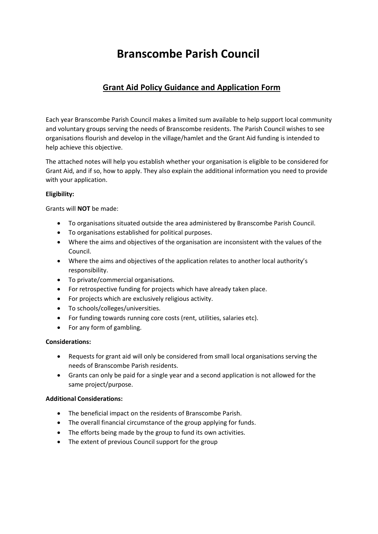# **Branscombe Parish Council**

## **Grant Aid Policy Guidance and Application Form**

Each year Branscombe Parish Council makes a limited sum available to help support local community and voluntary groups serving the needs of Branscombe residents. The Parish Council wishes to see organisations flourish and develop in the village/hamlet and the Grant Aid funding is intended to help achieve this objective.

The attached notes will help you establish whether your organisation is eligible to be considered for Grant Aid, and if so, how to apply. They also explain the additional information you need to provide with your application.

### **Eligibility:**

Grants will **NOT** be made:

- To organisations situated outside the area administered by Branscombe Parish Council.
- To organisations established for political purposes.
- Where the aims and objectives of the organisation are inconsistent with the values of the Council.
- Where the aims and objectives of the application relates to another local authority's responsibility.
- To private/commercial organisations.
- For retrospective funding for projects which have already taken place.
- For projects which are exclusively religious activity.
- To schools/colleges/universities.
- For funding towards running core costs (rent, utilities, salaries etc).
- For any form of gambling.

#### **Considerations:**

- Requests for grant aid will only be considered from small local organisations serving the needs of Branscombe Parish residents.
- Grants can only be paid for a single year and a second application is not allowed for the same project/purpose.

#### **Additional Considerations:**

- The beneficial impact on the residents of Branscombe Parish.
- The overall financial circumstance of the group applying for funds.
- The efforts being made by the group to fund its own activities.
- The extent of previous Council support for the group